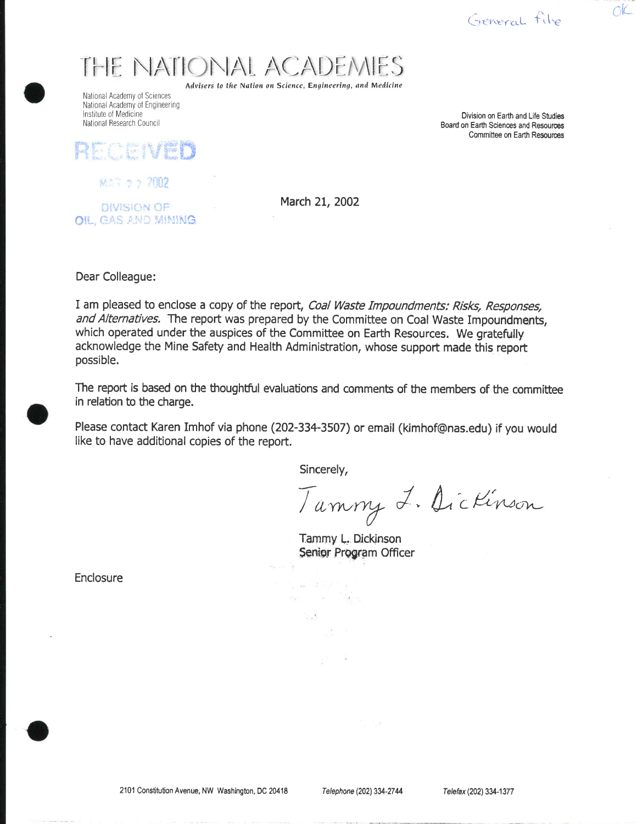General fils

 $CIC$ 

# THE NATIONAL ACADEMIES

Advisers to the Nation on Science, Engineering, and Medicine

National Academy of Sciences National Academy of Engineering Institute of Medicine National Research Council

Division on Earth and Life Studies Board on Earth Sciences and Resources Committee on Earth Resources

RECEIVED

MAR 9 2 7002

DIVISION OF OIL, GAS AND MINING March 21, 2002

Dear Colleague:

I am pleased to enclose a copy of the report, Coal Waste Impoundments: Risks, Responses, and Alternatives. The report was prepared by the Committee on Coal Waste Impoundments, which operated under the auspices of the Committee on Earth Resources. We gratefully acknowledge the Mine Safety and Health Administration, whose support made this report possible.

The report is based on the thoughtful evaluations and comments of the members of the committee in relation to the charge.

Please contact Karen Imhof via phone (202-334-3507) or email (kimhof@nas.edu) if you would like to have additional copies of the report.

Sincerely,

a wild a ase a later

 $\mathcal{A}^{\mathcal{A}}$  .

Tammy L. Dickinson

Tammy L. Dickinson Senior Program Officer

Enclosure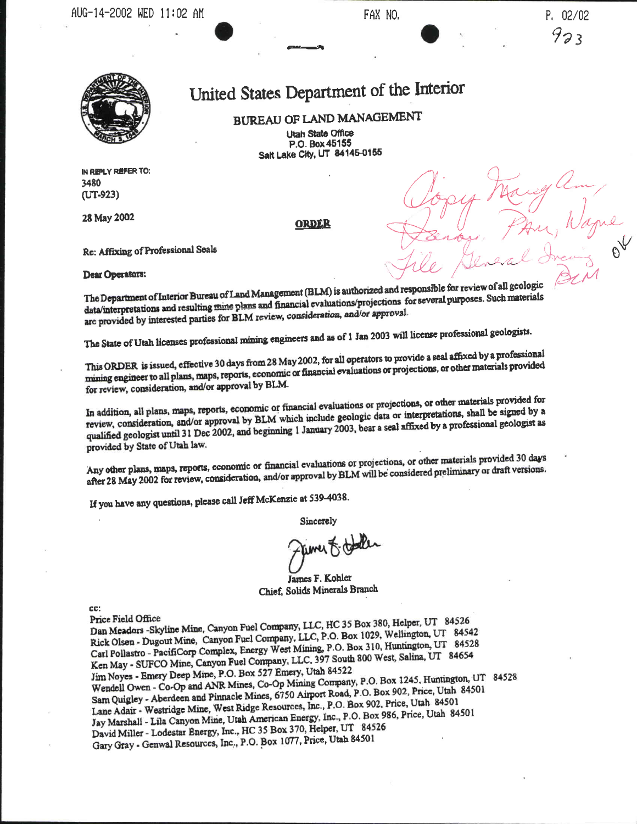

### United States Department of the Interior

BUREAU OF LAND MANAGEMENT **Utah State Office** P.O. Box 45155 Salt Lake City, UT 84145-0155

IN REPLY REFER TO: 3480 (UT-923)

28 May 2002

ORDER

Re: Affixing of Professional Seals

#### Dear Operators:

The Department of Interior Bureau of Land Management (BLM) is authorized and responsible for review of all geologic data/interpretations and resulting mine plans and financial evaluations/projections for several purposes. Such materials are provided by interested parties for BLM review, consideration, and/or approval.

The State of Utah licenses professional mining engineers and as of 1 Jan 2003 will license professional geologists.

This ORDER is issued, effective 30 days from 28 May 2002, for all operators to provide a seal affixed by a professional mining engineer to all plans, maps, reports, economic or financial evaluations or projections, or other materials provided for review, consideration, and/or approval by BLM.

In addition, all plans, maps, reports, economic or financial evaluations or projections, or other materials provided for review, consideration, and/or approval by BLM which include geologic data or interpretations, shall be signed by a qualified geologist until 31 Dec 2002, and beginning 1 January 2003, bear a seal affixed by a professional geologist as provided by State of Utah law.

Any other plans, maps, reports, economic or financial evaluations or projections, or other materials provided 30 days after 28 May 2002 for review, consideration, and/or approval by BLM will be considered preliminary or draft versions.

If you have any questions, please call Jeff McKenzie at 539-4038.

Sincerely

rimer F. to

James F. Kohler Chief, Solids Minerals Branch

CC:

Dan Meadors -Skyline Mine, Canyon Fuel Company, LLC, HC 35 Box 380, Helper, UT 84526 Price Field Office Rick Olsen - Dugout Mine, Canyon Fuel Company, LLC, P.O. Box 1029, Wellington, UT 84542 Carl Pollastro - PacifiCorp Complex, Energy West Mining, P.O. Box 310, Huntington, UT 84528 Ken May - SUFCO Mine, Canyon Fuel Company, LLC, 397 South 800 West, Salina, UT 84654 Jim Noyes - Emery Deep Mine, P.O. Box 527 Emery, Utah 84522 Wendell Owen - Co-Op and ANR Mines, Co-Op Mining Company, P.O. Box 1245, Huntington, UT 84528 Sam Quigley - Aberdeen and Pinnacle Mines, 6750 Airport Road, P.O. Box 902, Price, Utah 84501 Lane Adair - Westridge Mine, West Ridge Resources, Inc., P.O. Box 902, Price, Utah 84501 Jay Marshall - Lila Canyon Mine, Utah American Energy, Inc., P.O. Box 986, Price, Utah 84501 David Miller - Lodestar Energy, Inc., HC 35 Box 370, Helper, UT 84526 Gary Gray - Genwal Resources, Inc., P.O. Box 1077, Price, Utah 84501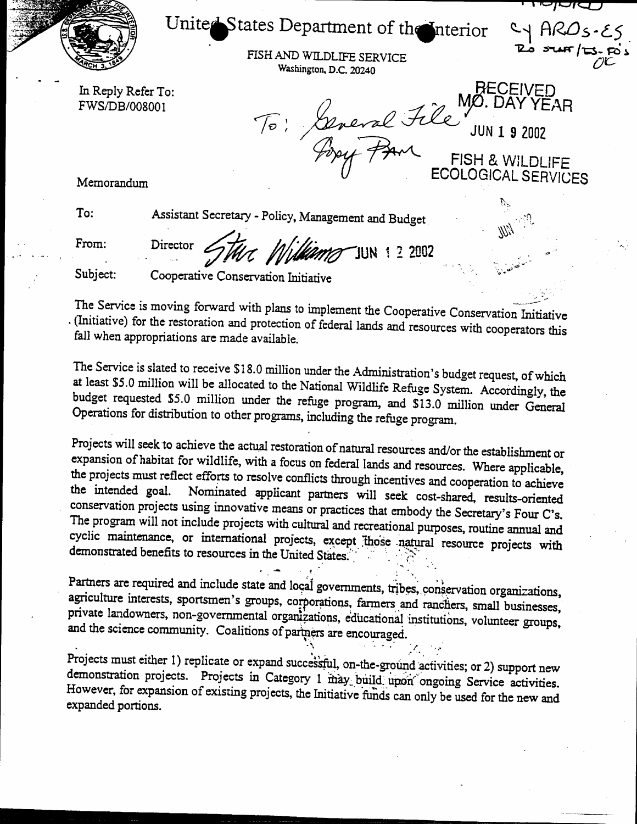

## United States Department of the Interior

FISH AND WILDLIFE SERVICE Washington, D.C. 20240

In Reply Refer To: FWS/DB/008001

**RECEIVED** MØ. DAY YEAR To: General File **JUN 1 9 2002** FISH & WILDLIFE **ECOLOGICAL SERVICES** 

כאשול

Memorandum

To:

Assistant Secretary - Policy, Management and Budget

From:

Director Ullams JUN 1 2 2002

Subject:

Cooperative Conservation Initiative

The Service is moving forward with plans to implement the Cooperative Conservation Initiative . (Initiative) for the restoration and protection of federal lands and resources with cooperators this fall when appropriations are made available.

The Service is slated to receive \$18.0 million under the Administration's budget request, of which at least \$5.0 million will be allocated to the National Wildlife Refuge System. Accordingly, the budget requested \$5.0 million under the refuge program, and \$13.0 million under General Operations for distribution to other programs, including the refuge program.

Projects will seek to achieve the actual restoration of natural resources and/or the establishment or expansion of habitat for wildlife, with a focus on federal lands and resources. Where applicable, the projects must reflect efforts to resolve conflicts through incentives and cooperation to achieve Nominated applicant partners will seek cost-shared, results-oriented the intended goal. conservation projects using innovative means or practices that embody the Secretary's Four C's. The program will not include projects with cultural and recreational purposes, routine annual and cyclic maintenance, or international projects, except those natural resource projects with demonstrated benefits to resources in the United States.

Partners are required and include state and local governments, tribes, conservation organizations, agriculture interests, sportsmen's groups, corporations, farmers and ranchers, small businesses, private landowners, non-governmental organizations, educational institutions, volunteer groups, and the science community. Coalitions of partners are encouraged.

Projects must either 1) replicate or expand successful, on-the-ground activities; or 2) support new demonstration projects. Projects in Category 1 may build upon ongoing Service activities. However, for expansion of existing projects, the Initiative funds can only be used for the new and expanded portions.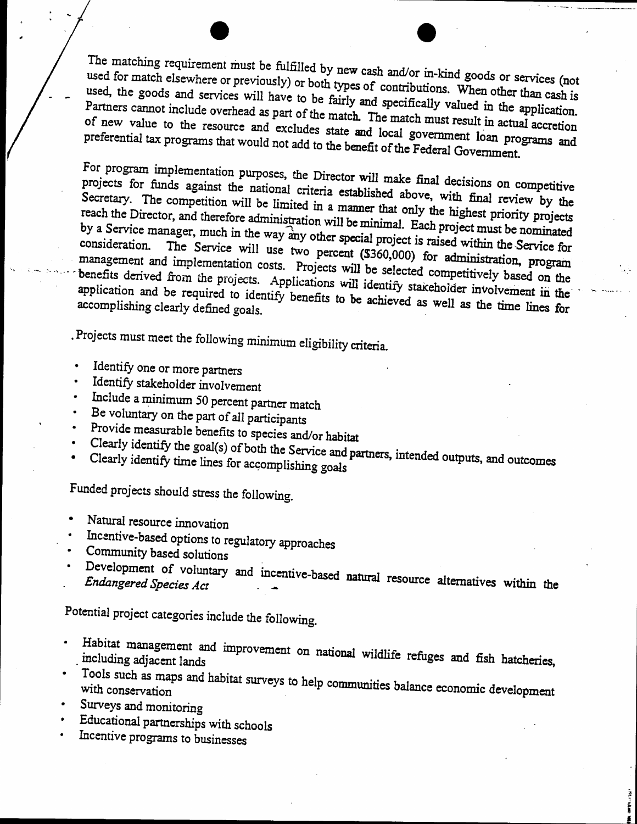The matching requirement must be fulfilled by new cash and/or in-kind goods or services (not used for match elsewhere or previously) or both types of contributions. When other than cash is used, the goods and services will have to be fairly and specifically valued in the application. Partners cannot include overhead as part of the match. The match must result in actual accretion of new value to the resource and excludes state and local government loan programs and preferential tax programs that would not add to the benefit of the Federal Government.

For program implementation purposes, the Director will make final decisions on competitive projects for funds against the national criteria established above, with final review by the Secretary. The competition will be limited in a manner that only the highest priority projects reach the Director, and therefore administration will be minimal. Each project must be nominated by a Service manager, much in the way any other special project is raised within the Service for The Service will use two percent (\$360,000) for administration, program management and implementation costs. Projects will be selected competitively based on the benefits derived from the projects. Applications will identify stakeholder involvement in the application and be required to identify benefits to be achieved as well as the time lines for accomplishing clearly defined goals.

Projects must meet the following minimum eligibility criteria.

- Identify one or more partners
- Identify stakeholder involvement
- Include a minimum 50 percent partner match
- Be voluntary on the part of all participants
- Provide measurable benefits to species and/or habitat
- Clearly identify the goal(s) of both the Service and partners, intended outputs, and outcomes
- Clearly identify time lines for accomplishing goals

Funded projects should stress the following.

- Natural resource innovation
- Incentive-based options to regulatory approaches
- Community based solutions
- Development of voluntary and incentive-based natural resource alternatives within the

Potential project categories include the following.

- Habitat management and improvement on national wildlife refuges and fish hatcheries,  $\bullet$ including adjacent lands
- Tools such as maps and habitat surveys to help communities balance economic development

**The Search Company** 

- Surveys and monitoring
- Educational partnerships with schools
- Incentive programs to businesses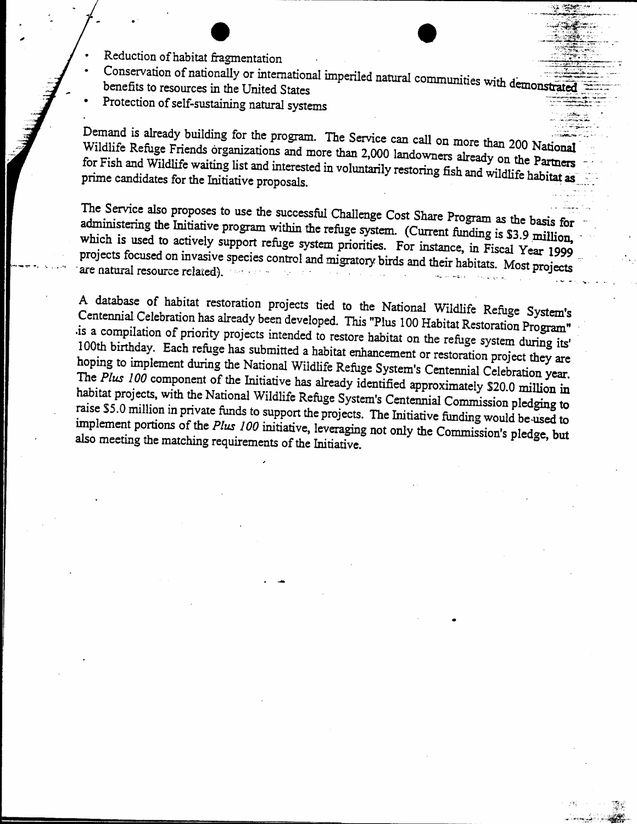- Reduction of habitat fragmentation
- Conservation of nationally or international imperiled natural communities with demonstrated benefits to resources in the United States
- Protection of self-sustaining natural systems

Demand is already building for the program. The Service can call on more than 200 National Wildlife Refuge Friends organizations and more than 2,000 landowners already on the Partners for Fish and Wildlife waiting list and interested in voluntarily restoring fish and wildlife habitat as prime candidates for the Initiative proposals.

The Service also proposes to use the successful Challenge Cost Share Program as the basis for administering the Initiative program within the refuge system. (Current funding is \$3.9 million, which is used to actively support refuge system priorities. For instance, in Fiscal Year 1999 projects focused on invasive species control and migratory birds and their habitats. Most projects are natural resource related).

A database of habitat restoration projects tied to the National Wildlife Refuge System's Centennial Celebration has already been developed. This "Plus 100 Habitat Restoration Program" is a compilation of priority projects intended to restore habitat on the refuge system during its' 100th birthday. Each refuge has submitted a habitat enhancement or restoration project they are hoping to implement during the National Wildlife Refuge System's Centennial Celebration year. The Plus 100 component of the Initiative has already identified approximately \$20.0 million in habitat projects, with the National Wildlife Refuge System's Centennial Commission pledging to raise \$5.0 million in private funds to support the projects. The Initiative funding would be used to implement portions of the Plus 100 initiative, leveraging not only the Commission's pledge, but also meeting the matching requirements of the Initiative.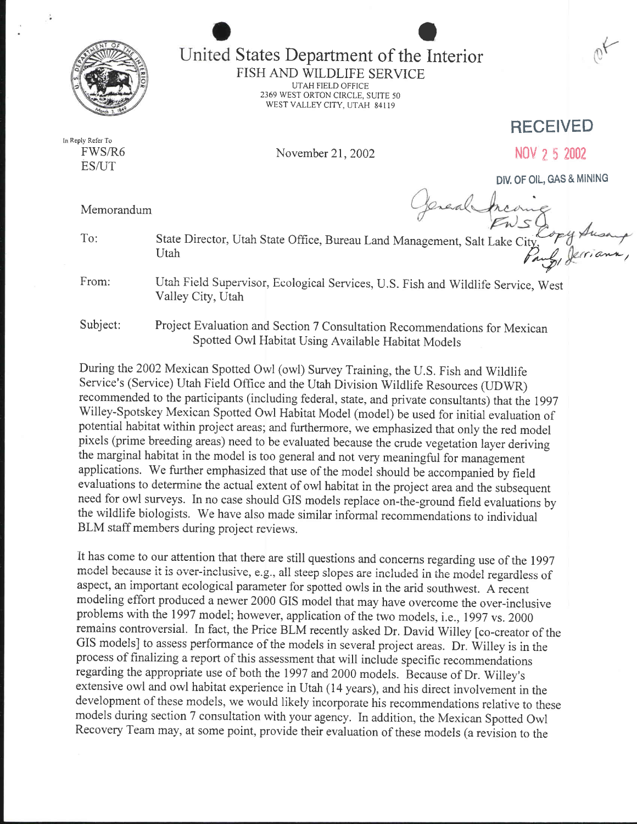

## I States Department of the Interior

FISH AND WILDLIFE SERVICE UTAH FIELD OFFICE 2369 WEST ORTON CIRCLE, SUITE 50 WEST VALLEY CITY. UTAH 84I <sup>19</sup>

In Reply Refer To FWS/R6 ES/UT

November 21,2002

RECEIVED

NOv ? 5 200?

DIV. OF OIL, GAS & MINING

Memorandum

Jereal State Director, Utah State Office, Bureau Land Management, Salt Lake City<br>Utah riann

From:

To:

Utah Field Supervisor, Ecological Services, U.S. Fish and Wildlife Service, West Valley City, Utah

Subject: Project Evaluation and Section 7 Consultation Recommendations for Mexican Spotted Owl Habitat Using Available Habitat Models

During the2002 Mexican Spotted Owl (owl) Survey Training, the U.S. Fish and Wildlife Service's (Service) Utah Field Office and the Utah Division Wildlife Resources (UDWR) recommended to the participants (including federal, state, and private consultants) that the 1997 Willey-Spotskey Mexican Spotted Owl Habitat Model (model) be used for initial evaluation of potential habitat within project areas; and furthermore, we emphasized that only the red model pixels (prime breeding areas) need to be evaluated because the crude vegetation layer deriving the marginal habitat in the model is too general and not very meaningfui for management applications. We further emphasized that use of the model should be accompanied by field evaluations to determine the actual extent of owl habitat in the project area and the subsequent need for owl surveys. In no case should GIS models replace on-the-ground field evaluations by the wildlife biologists. We have also made similar informal recommendations to individual BLM staff members during project reviews.

It has come to our attention that there are still questions and concerns regarding use of the 1997 model because it is over-inclusive, e.g., all steep slopes are included in the model regardless of aspect, an important ecological parameter for spotted owls in the arid southwest. A recent modeling effort produced a newer 2000 GIS model that may have overcome the over-inclusive problems with the 1997 model; however, application of the two models, i.e., 1997 vs. 2000 remains controversial. In fact, the Price BLM recently asked Dr. David Willey fco-creator of the GIS models] to assess performance of the models in several project areas. Dr. Willey is in the process of finalizing a report of this assessment that will include specific recommendations regarding the appropriate use of both the 1997 and2000 models. Because of Dr. Willey's extensive owl and owl habitat experience in Utah (14 years), and his direct involvement in the development of these models, we would likely incorporate his recommendations relative to these models during section 7 consultation with your agency. In addition, the Mexican Spotted Owl Recovery Team may, at some point, provide their evaluation of these models (a revision to the

,